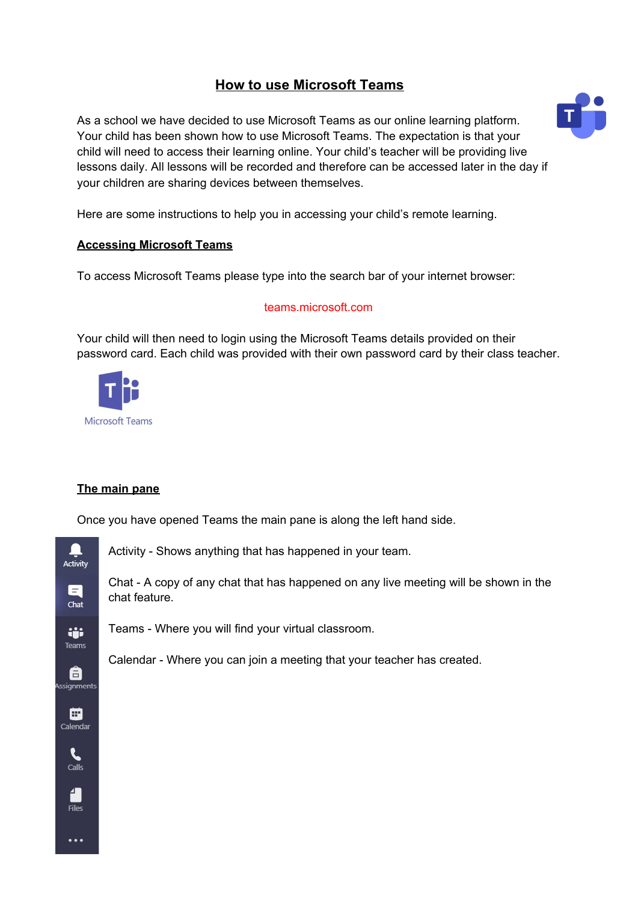# **How to use Microsoft Teams**

As a school we have decided to use Microsoft Teams as our online learning platform. Your child has been shown how to use Microsoft Teams. The expectation is that your child will need to access their learning online. Your child's teacher will be providing live lessons daily. All lessons will be recorded and therefore can be accessed later in the day if your children are sharing devices between themselves.

Here are some instructions to help you in accessing your child's remote learning.

# **Accessing Microsoft Teams**

To access Microsoft Teams please type into the search bar of your internet browser:

## teams.microsoft.com

Your child will then need to login using the Microsoft Teams details provided on their password card. Each child was provided with their own password card by their class teacher.



# **The main pane**

Once you have opened Teams the main pane is along the left hand side.



Activity - Shows anything that has happened in your team.

Chat - A copy of any chat that has happened on any live meeting will be shown in the chat feature.

Teams - Where you will find your virtual classroom.

Calendar - Where you can join a meeting that your teacher has created.

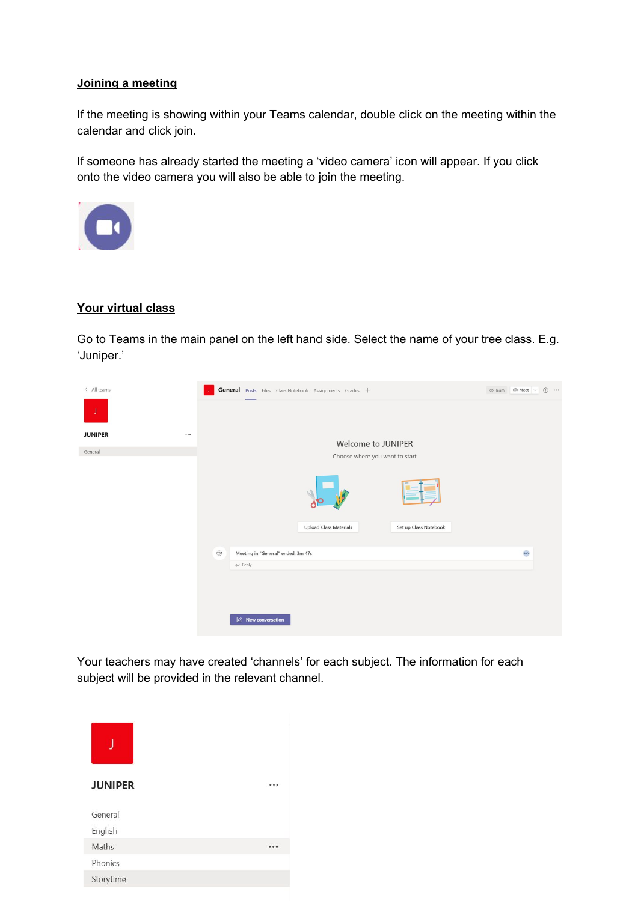#### **Joining a meeting**

If the meeting is showing within your Teams calendar, double click on the meeting within the calendar and click join.

If someone has already started the meeting a 'video camera' icon will appear. If you click onto the video camera you will also be able to join the meeting.



## **Your virtual class**

Go to Teams in the main panel on the left hand side. Select the name of your tree class. E.g. 'Juniper.'



Your teachers may have created 'channels' for each subject. The information for each subject will be provided in the relevant channel.

| <b>JUNIPER</b> |  |
|----------------|--|
| General        |  |
| English        |  |
| Maths          |  |
| Phonics        |  |
| Storytime      |  |